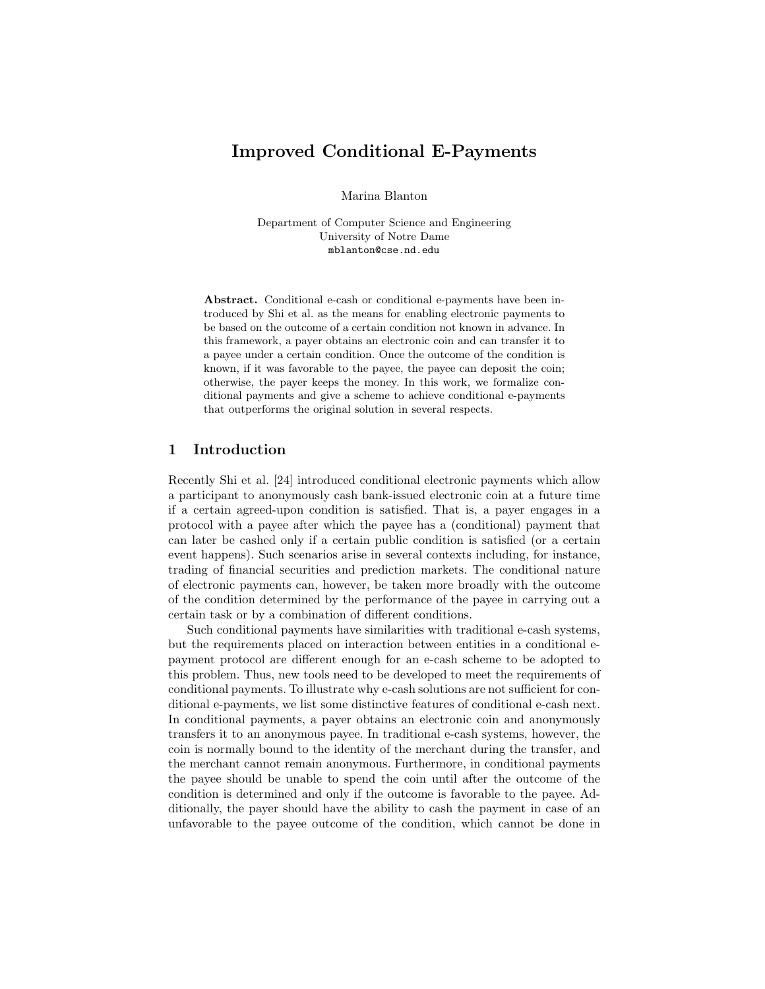# Improved Conditional E-Payments

Marina Blanton

Department of Computer Science and Engineering University of Notre Dame mblanton@cse.nd.edu

Abstract. Conditional e-cash or conditional e-payments have been introduced by Shi et al. as the means for enabling electronic payments to be based on the outcome of a certain condition not known in advance. In this framework, a payer obtains an electronic coin and can transfer it to a payee under a certain condition. Once the outcome of the condition is known, if it was favorable to the payee, the payee can deposit the coin; otherwise, the payer keeps the money. In this work, we formalize conditional payments and give a scheme to achieve conditional e-payments that outperforms the original solution in several respects.

### 1 Introduction

Recently Shi et al. [24] introduced conditional electronic payments which allow a participant to anonymously cash bank-issued electronic coin at a future time if a certain agreed-upon condition is satisfied. That is, a payer engages in a protocol with a payee after which the payee has a (conditional) payment that can later be cashed only if a certain public condition is satisfied (or a certain event happens). Such scenarios arise in several contexts including, for instance, trading of financial securities and prediction markets. The conditional nature of electronic payments can, however, be taken more broadly with the outcome of the condition determined by the performance of the payee in carrying out a certain task or by a combination of different conditions.

Such conditional payments have similarities with traditional e-cash systems, but the requirements placed on interaction between entities in a conditional epayment protocol are different enough for an e-cash scheme to be adopted to this problem. Thus, new tools need to be developed to meet the requirements of conditional payments. To illustrate why e-cash solutions are not sufficient for conditional e-payments, we list some distinctive features of conditional e-cash next. In conditional payments, a payer obtains an electronic coin and anonymously transfers it to an anonymous payee. In traditional e-cash systems, however, the coin is normally bound to the identity of the merchant during the transfer, and the merchant cannot remain anonymous. Furthermore, in conditional payments the payee should be unable to spend the coin until after the outcome of the condition is determined and only if the outcome is favorable to the payee. Additionally, the payer should have the ability to cash the payment in case of an unfavorable to the payee outcome of the condition, which cannot be done in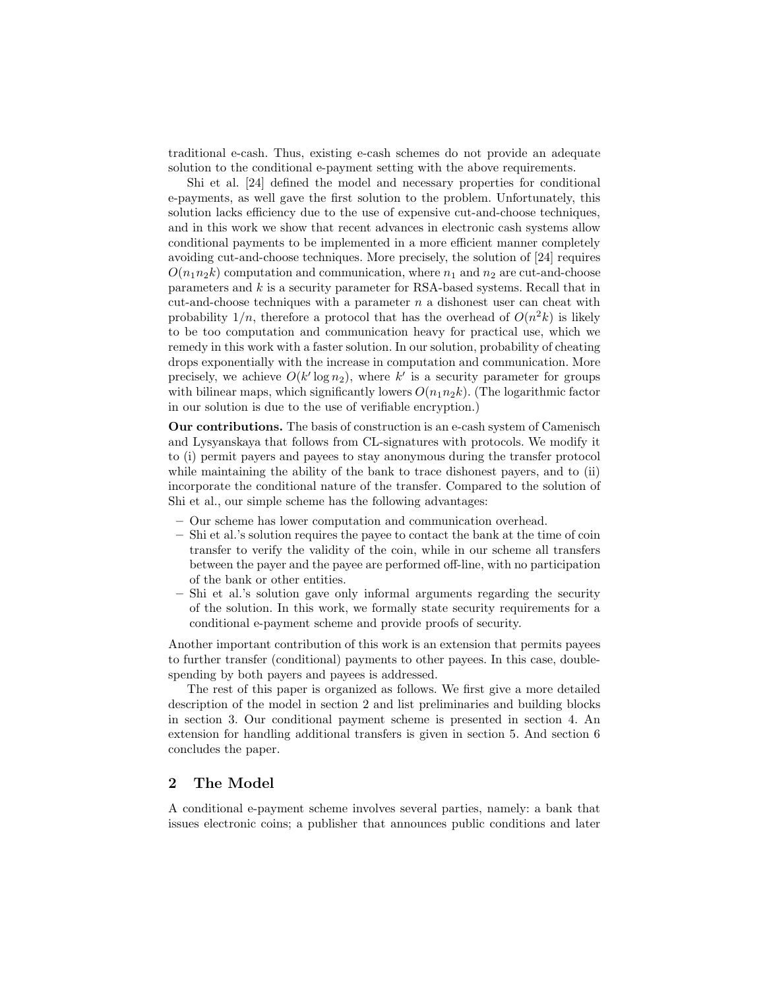traditional e-cash. Thus, existing e-cash schemes do not provide an adequate solution to the conditional e-payment setting with the above requirements.

Shi et al. [24] defined the model and necessary properties for conditional e-payments, as well gave the first solution to the problem. Unfortunately, this solution lacks efficiency due to the use of expensive cut-and-choose techniques, and in this work we show that recent advances in electronic cash systems allow conditional payments to be implemented in a more efficient manner completely avoiding cut-and-choose techniques. More precisely, the solution of [24] requires  $O(n_1n_2k)$  computation and communication, where  $n_1$  and  $n_2$  are cut-and-choose parameters and k is a security parameter for RSA-based systems. Recall that in cut-and-choose techniques with a parameter  $n$  a dishonest user can cheat with probability  $1/n$ , therefore a protocol that has the overhead of  $O(n^2k)$  is likely to be too computation and communication heavy for practical use, which we remedy in this work with a faster solution. In our solution, probability of cheating drops exponentially with the increase in computation and communication. More precisely, we achieve  $O(k' \log n_2)$ , where k' is a security parameter for groups with bilinear maps, which significantly lowers  $O(n_1n_2k)$ . (The logarithmic factor in our solution is due to the use of verifiable encryption.)

Our contributions. The basis of construction is an e-cash system of Camenisch and Lysyanskaya that follows from CL-signatures with protocols. We modify it to (i) permit payers and payees to stay anonymous during the transfer protocol while maintaining the ability of the bank to trace dishonest payers, and to (ii) incorporate the conditional nature of the transfer. Compared to the solution of Shi et al., our simple scheme has the following advantages:

- Our scheme has lower computation and communication overhead.
- Shi et al.'s solution requires the payee to contact the bank at the time of coin transfer to verify the validity of the coin, while in our scheme all transfers between the payer and the payee are performed off-line, with no participation of the bank or other entities.
- Shi et al.'s solution gave only informal arguments regarding the security of the solution. In this work, we formally state security requirements for a conditional e-payment scheme and provide proofs of security.

Another important contribution of this work is an extension that permits payees to further transfer (conditional) payments to other payees. In this case, doublespending by both payers and payees is addressed.

The rest of this paper is organized as follows. We first give a more detailed description of the model in section 2 and list preliminaries and building blocks in section 3. Our conditional payment scheme is presented in section 4. An extension for handling additional transfers is given in section 5. And section 6 concludes the paper.

# 2 The Model

A conditional e-payment scheme involves several parties, namely: a bank that issues electronic coins; a publisher that announces public conditions and later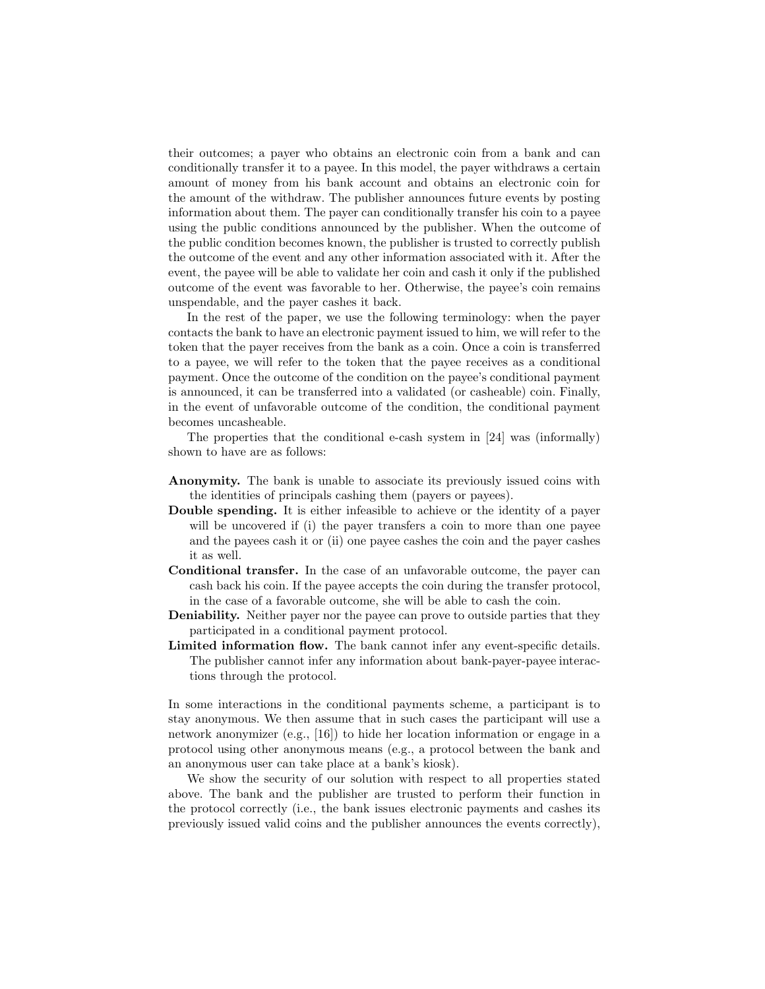their outcomes; a payer who obtains an electronic coin from a bank and can conditionally transfer it to a payee. In this model, the payer withdraws a certain amount of money from his bank account and obtains an electronic coin for the amount of the withdraw. The publisher announces future events by posting information about them. The payer can conditionally transfer his coin to a payee using the public conditions announced by the publisher. When the outcome of the public condition becomes known, the publisher is trusted to correctly publish the outcome of the event and any other information associated with it. After the event, the payee will be able to validate her coin and cash it only if the published outcome of the event was favorable to her. Otherwise, the payee's coin remains unspendable, and the payer cashes it back.

In the rest of the paper, we use the following terminology: when the payer contacts the bank to have an electronic payment issued to him, we will refer to the token that the payer receives from the bank as a coin. Once a coin is transferred to a payee, we will refer to the token that the payee receives as a conditional payment. Once the outcome of the condition on the payee's conditional payment is announced, it can be transferred into a validated (or casheable) coin. Finally, in the event of unfavorable outcome of the condition, the conditional payment becomes uncasheable.

The properties that the conditional e-cash system in [24] was (informally) shown to have are as follows:

- Anonymity. The bank is unable to associate its previously issued coins with the identities of principals cashing them (payers or payees).
- Double spending. It is either infeasible to achieve or the identity of a payer will be uncovered if (i) the payer transfers a coin to more than one payee and the payees cash it or (ii) one payee cashes the coin and the payer cashes it as well.
- Conditional transfer. In the case of an unfavorable outcome, the payer can cash back his coin. If the payee accepts the coin during the transfer protocol, in the case of a favorable outcome, she will be able to cash the coin.
- Deniability. Neither payer nor the payee can prove to outside parties that they participated in a conditional payment protocol.
- Limited information flow. The bank cannot infer any event-specific details. The publisher cannot infer any information about bank-payer-payee interactions through the protocol.

In some interactions in the conditional payments scheme, a participant is to stay anonymous. We then assume that in such cases the participant will use a network anonymizer (e.g., [16]) to hide her location information or engage in a protocol using other anonymous means (e.g., a protocol between the bank and an anonymous user can take place at a bank's kiosk).

We show the security of our solution with respect to all properties stated above. The bank and the publisher are trusted to perform their function in the protocol correctly (i.e., the bank issues electronic payments and cashes its previously issued valid coins and the publisher announces the events correctly),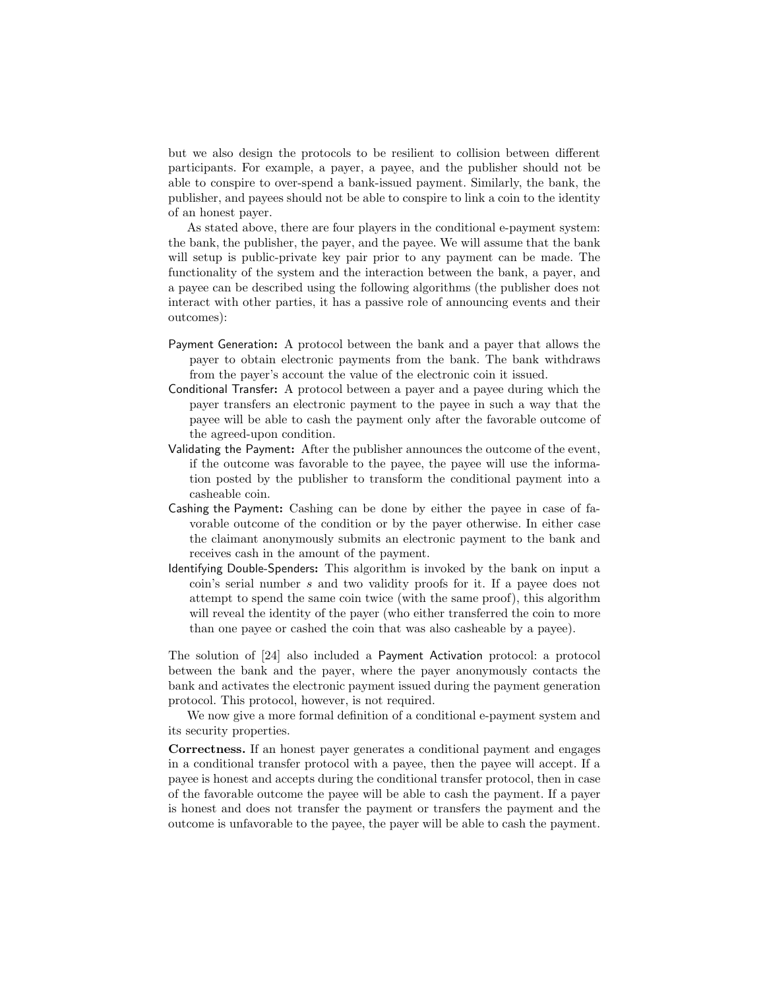but we also design the protocols to be resilient to collision between different participants. For example, a payer, a payee, and the publisher should not be able to conspire to over-spend a bank-issued payment. Similarly, the bank, the publisher, and payees should not be able to conspire to link a coin to the identity of an honest payer.

As stated above, there are four players in the conditional e-payment system: the bank, the publisher, the payer, and the payee. We will assume that the bank will setup is public-private key pair prior to any payment can be made. The functionality of the system and the interaction between the bank, a payer, and a payee can be described using the following algorithms (the publisher does not interact with other parties, it has a passive role of announcing events and their outcomes):

- Payment Generation: A protocol between the bank and a payer that allows the payer to obtain electronic payments from the bank. The bank withdraws from the payer's account the value of the electronic coin it issued.
- Conditional Transfer: A protocol between a payer and a payee during which the payer transfers an electronic payment to the payee in such a way that the payee will be able to cash the payment only after the favorable outcome of the agreed-upon condition.
- Validating the Payment: After the publisher announces the outcome of the event, if the outcome was favorable to the payee, the payee will use the information posted by the publisher to transform the conditional payment into a casheable coin.
- Cashing the Payment: Cashing can be done by either the payee in case of favorable outcome of the condition or by the payer otherwise. In either case the claimant anonymously submits an electronic payment to the bank and receives cash in the amount of the payment.
- Identifying Double-Spenders: This algorithm is invoked by the bank on input a coin's serial number s and two validity proofs for it. If a payee does not attempt to spend the same coin twice (with the same proof), this algorithm will reveal the identity of the payer (who either transferred the coin to more than one payee or cashed the coin that was also casheable by a payee).

The solution of [24] also included a Payment Activation protocol: a protocol between the bank and the payer, where the payer anonymously contacts the bank and activates the electronic payment issued during the payment generation protocol. This protocol, however, is not required.

We now give a more formal definition of a conditional e-payment system and its security properties.

Correctness. If an honest payer generates a conditional payment and engages in a conditional transfer protocol with a payee, then the payee will accept. If a payee is honest and accepts during the conditional transfer protocol, then in case of the favorable outcome the payee will be able to cash the payment. If a payer is honest and does not transfer the payment or transfers the payment and the outcome is unfavorable to the payee, the payer will be able to cash the payment.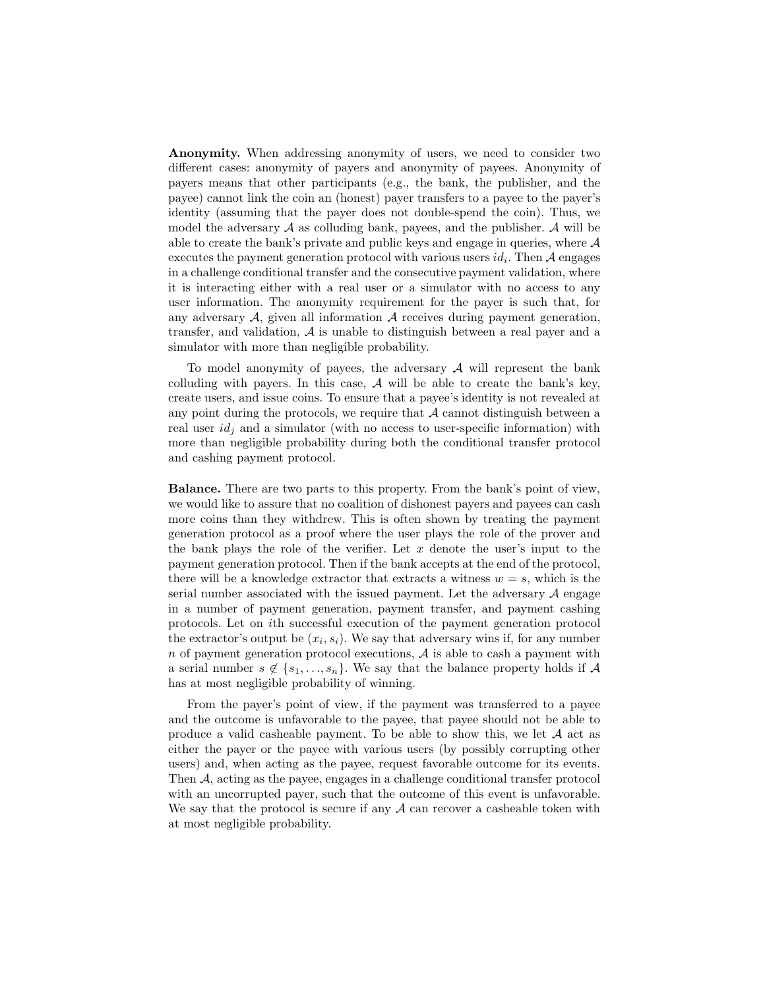Anonymity. When addressing anonymity of users, we need to consider two different cases: anonymity of payers and anonymity of payees. Anonymity of payers means that other participants (e.g., the bank, the publisher, and the payee) cannot link the coin an (honest) payer transfers to a payee to the payer's identity (assuming that the payer does not double-spend the coin). Thus, we model the adversary  $A$  as colluding bank, payees, and the publisher.  $A$  will be able to create the bank's private and public keys and engage in queries, where  $A$ executes the payment generation protocol with various users  $id_i$ . Then  $A$  engages in a challenge conditional transfer and the consecutive payment validation, where it is interacting either with a real user or a simulator with no access to any user information. The anonymity requirement for the payer is such that, for any adversary  $A$ , given all information  $A$  receives during payment generation, transfer, and validation, A is unable to distinguish between a real payer and a simulator with more than negligible probability.

To model anonymity of payees, the adversary  $A$  will represent the bank colluding with payers. In this case,  $A$  will be able to create the bank's key, create users, and issue coins. To ensure that a payee's identity is not revealed at any point during the protocols, we require that  $A$  cannot distinguish between a real user  $id_i$  and a simulator (with no access to user-specific information) with more than negligible probability during both the conditional transfer protocol and cashing payment protocol.

Balance. There are two parts to this property. From the bank's point of view, we would like to assure that no coalition of dishonest payers and payees can cash more coins than they withdrew. This is often shown by treating the payment generation protocol as a proof where the user plays the role of the prover and the bank plays the role of the verifier. Let  $x$  denote the user's input to the payment generation protocol. Then if the bank accepts at the end of the protocol, there will be a knowledge extractor that extracts a witness  $w = s$ , which is the serial number associated with the issued payment. Let the adversary  $\mathcal A$  engage in a number of payment generation, payment transfer, and payment cashing protocols. Let on ith successful execution of the payment generation protocol the extractor's output be  $(x_i, s_i)$ . We say that adversary wins if, for any number  $n$  of payment generation protocol executions,  $A$  is able to cash a payment with a serial number  $s \notin \{s_1, \ldots, s_n\}$ . We say that the balance property holds if A has at most negligible probability of winning.

From the payer's point of view, if the payment was transferred to a payee and the outcome is unfavorable to the payee, that payee should not be able to produce a valid casheable payment. To be able to show this, we let  $A$  act as either the payer or the payee with various users (by possibly corrupting other users) and, when acting as the payee, request favorable outcome for its events. Then A, acting as the payee, engages in a challenge conditional transfer protocol with an uncorrupted payer, such that the outcome of this event is unfavorable. We say that the protocol is secure if any  $A$  can recover a casheable token with at most negligible probability.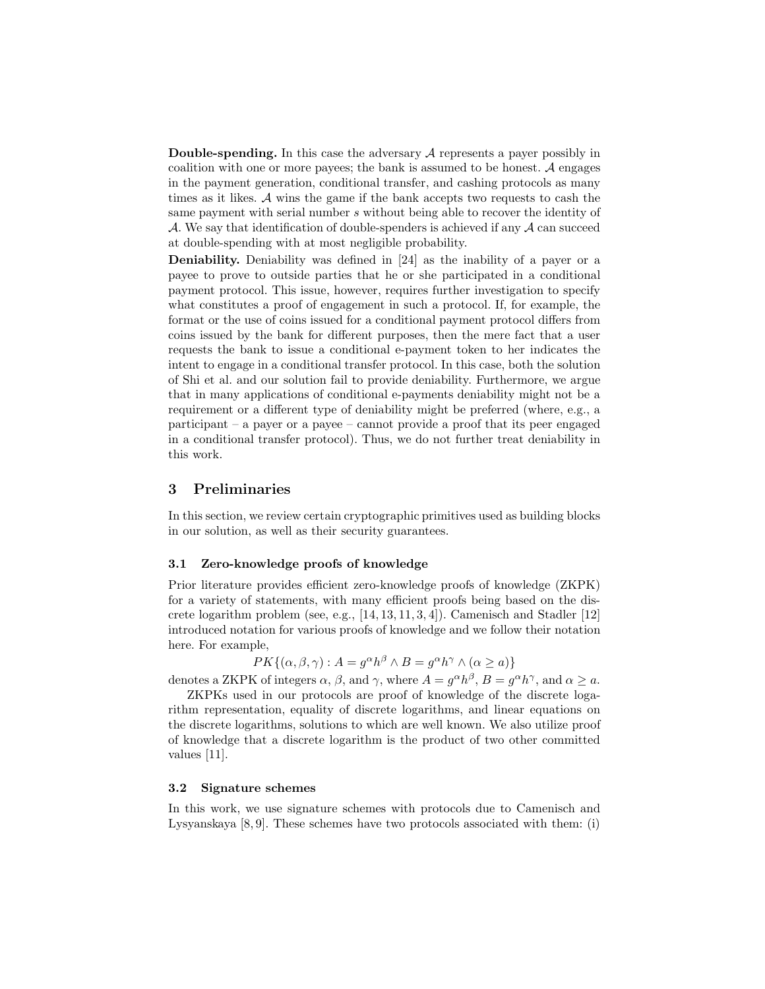Double-spending. In this case the adversary A represents a payer possibly in coalition with one or more payees; the bank is assumed to be honest.  $A$  engages in the payment generation, conditional transfer, and cashing protocols as many times as it likes. A wins the game if the bank accepts two requests to cash the same payment with serial number s without being able to recover the identity of  $\mathcal A$ . We say that identification of double-spenders is achieved if any  $\mathcal A$  can succeed at double-spending with at most negligible probability.

Deniability. Deniability was defined in [24] as the inability of a payer or a payee to prove to outside parties that he or she participated in a conditional payment protocol. This issue, however, requires further investigation to specify what constitutes a proof of engagement in such a protocol. If, for example, the format or the use of coins issued for a conditional payment protocol differs from coins issued by the bank for different purposes, then the mere fact that a user requests the bank to issue a conditional e-payment token to her indicates the intent to engage in a conditional transfer protocol. In this case, both the solution of Shi et al. and our solution fail to provide deniability. Furthermore, we argue that in many applications of conditional e-payments deniability might not be a requirement or a different type of deniability might be preferred (where, e.g., a participant – a payer or a payee – cannot provide a proof that its peer engaged in a conditional transfer protocol). Thus, we do not further treat deniability in this work.

### 3 Preliminaries

In this section, we review certain cryptographic primitives used as building blocks in our solution, as well as their security guarantees.

#### 3.1 Zero-knowledge proofs of knowledge

Prior literature provides efficient zero-knowledge proofs of knowledge (ZKPK) for a variety of statements, with many efficient proofs being based on the discrete logarithm problem (see, e.g., [14, 13, 11, 3, 4]). Camenisch and Stadler [12] introduced notation for various proofs of knowledge and we follow their notation here. For example,

 $PK\{(\alpha, \beta, \gamma): A = g^{\alpha}h^{\beta} \wedge B = g^{\alpha}h^{\gamma} \wedge (\alpha \geq a)\}\$ 

denotes a ZKPK of integers  $\alpha$ ,  $\beta$ , and  $\gamma$ , where  $A = g^{\alpha}h^{\beta}$ ,  $B = g^{\alpha}h^{\gamma}$ , and  $\alpha \ge a$ .

ZKPKs used in our protocols are proof of knowledge of the discrete logarithm representation, equality of discrete logarithms, and linear equations on the discrete logarithms, solutions to which are well known. We also utilize proof of knowledge that a discrete logarithm is the product of two other committed values [11].

#### 3.2 Signature schemes

In this work, we use signature schemes with protocols due to Camenisch and Lysyanskaya [8, 9]. These schemes have two protocols associated with them: (i)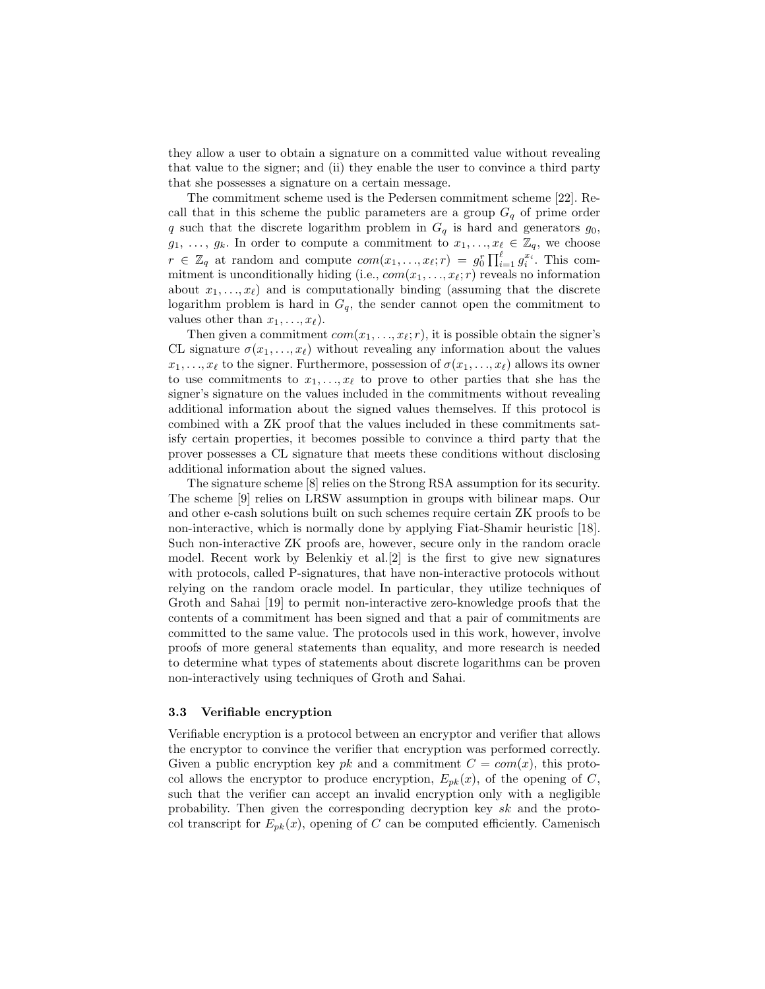they allow a user to obtain a signature on a committed value without revealing that value to the signer; and (ii) they enable the user to convince a third party that she possesses a signature on a certain message.

The commitment scheme used is the Pedersen commitment scheme [22]. Recall that in this scheme the public parameters are a group  $G_q$  of prime order q such that the discrete logarithm problem in  $G_q$  is hard and generators  $g_0$ ,  $g_1, \ldots, g_k$ . In order to compute a commitment to  $x_1, \ldots, x_\ell \in \mathbb{Z}_q$ , we choose  $r \in \mathbb{Z}_q$  at random and compute  $com(x_1, ..., x_\ell; r) = g_0^r \prod_{i=1}^\ell g_i^{x_i}$ . This commitment is unconditionally hiding (i.e.,  $com(x_1, \ldots, x_\ell; r)$  reveals no information about  $x_1, \ldots, x_\ell$ ) and is computationally binding (assuming that the discrete logarithm problem is hard in  $G_q$ , the sender cannot open the commitment to values other than  $x_1, \ldots, x_\ell$ ).

Then given a commitment  $com(x_1, \ldots, x_\ell; r)$ , it is possible obtain the signer's CL signature  $\sigma(x_1, \ldots, x_\ell)$  without revealing any information about the values  $x_1, \ldots, x_\ell$  to the signer. Furthermore, possession of  $\sigma(x_1, \ldots, x_\ell)$  allows its owner to use commitments to  $x_1, \ldots, x_\ell$  to prove to other parties that she has the signer's signature on the values included in the commitments without revealing additional information about the signed values themselves. If this protocol is combined with a ZK proof that the values included in these commitments satisfy certain properties, it becomes possible to convince a third party that the prover possesses a CL signature that meets these conditions without disclosing additional information about the signed values.

The signature scheme [8] relies on the Strong RSA assumption for its security. The scheme [9] relies on LRSW assumption in groups with bilinear maps. Our and other e-cash solutions built on such schemes require certain ZK proofs to be non-interactive, which is normally done by applying Fiat-Shamir heuristic [18]. Such non-interactive ZK proofs are, however, secure only in the random oracle model. Recent work by Belenkiy et al.[2] is the first to give new signatures with protocols, called P-signatures, that have non-interactive protocols without relying on the random oracle model. In particular, they utilize techniques of Groth and Sahai [19] to permit non-interactive zero-knowledge proofs that the contents of a commitment has been signed and that a pair of commitments are committed to the same value. The protocols used in this work, however, involve proofs of more general statements than equality, and more research is needed to determine what types of statements about discrete logarithms can be proven non-interactively using techniques of Groth and Sahai.

### 3.3 Verifiable encryption

Verifiable encryption is a protocol between an encryptor and verifier that allows the encryptor to convince the verifier that encryption was performed correctly. Given a public encryption key pk and a commitment  $C = com(x)$ , this protocol allows the encryptor to produce encryption,  $E_{pk}(x)$ , of the opening of C, such that the verifier can accept an invalid encryption only with a negligible probability. Then given the corresponding decryption key sk and the protocol transcript for  $E_{pk}(x)$ , opening of C can be computed efficiently. Camenisch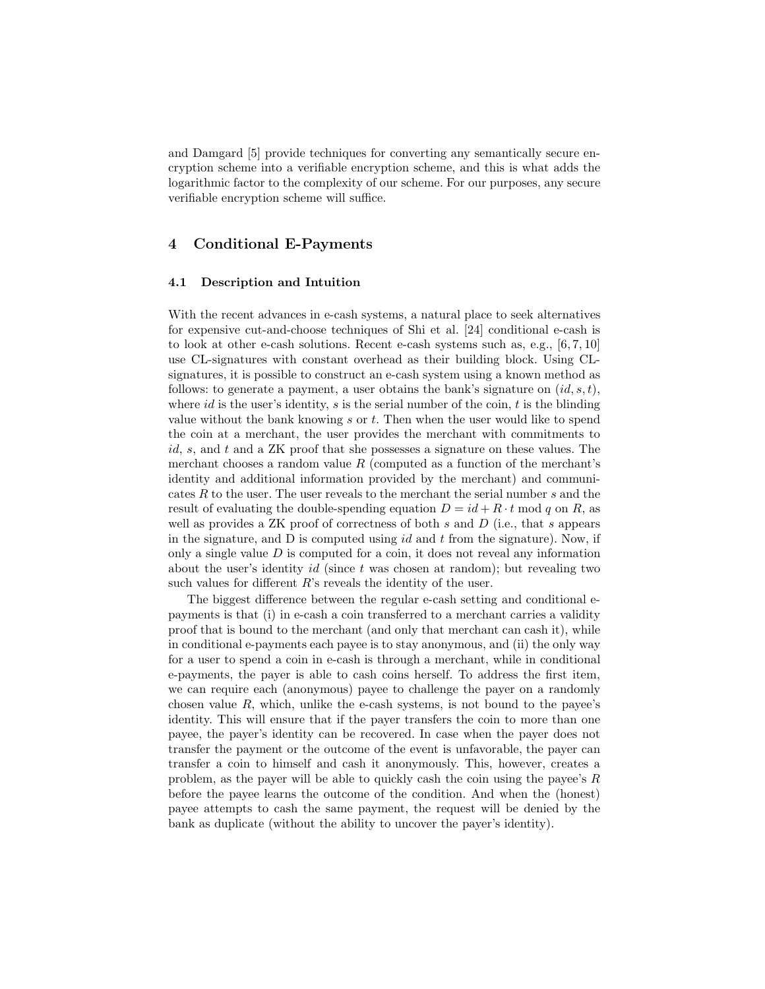and Damgard [5] provide techniques for converting any semantically secure encryption scheme into a verifiable encryption scheme, and this is what adds the logarithmic factor to the complexity of our scheme. For our purposes, any secure verifiable encryption scheme will suffice.

# 4 Conditional E-Payments

#### 4.1 Description and Intuition

With the recent advances in e-cash systems, a natural place to seek alternatives for expensive cut-and-choose techniques of Shi et al. [24] conditional e-cash is to look at other e-cash solutions. Recent e-cash systems such as, e.g., [6, 7, 10] use CL-signatures with constant overhead as their building block. Using CLsignatures, it is possible to construct an e-cash system using a known method as follows: to generate a payment, a user obtains the bank's signature on  $(id, s, t)$ , where  $id$  is the user's identity, s is the serial number of the coin, t is the blinding value without the bank knowing  $s$  or  $t$ . Then when the user would like to spend the coin at a merchant, the user provides the merchant with commitments to  $id, s$ , and t and a ZK proof that she possesses a signature on these values. The merchant chooses a random value  $R$  (computed as a function of the merchant's identity and additional information provided by the merchant) and communicates  $R$  to the user. The user reveals to the merchant the serial number  $s$  and the result of evaluating the double-spending equation  $D = id + R \cdot t \mod q$  on R, as well as provides a ZK proof of correctness of both s and  $D$  (i.e., that s appears in the signature, and  $D$  is computed using id and t from the signature). Now, if only a single value  $D$  is computed for a coin, it does not reveal any information about the user's identity  $id$  (since t was chosen at random); but revealing two such values for different  $R$ 's reveals the identity of the user.

The biggest difference between the regular e-cash setting and conditional epayments is that (i) in e-cash a coin transferred to a merchant carries a validity proof that is bound to the merchant (and only that merchant can cash it), while in conditional e-payments each payee is to stay anonymous, and (ii) the only way for a user to spend a coin in e-cash is through a merchant, while in conditional e-payments, the payer is able to cash coins herself. To address the first item, we can require each (anonymous) payee to challenge the payer on a randomly chosen value  $R$ , which, unlike the e-cash systems, is not bound to the payee's identity. This will ensure that if the payer transfers the coin to more than one payee, the payer's identity can be recovered. In case when the payer does not transfer the payment or the outcome of the event is unfavorable, the payer can transfer a coin to himself and cash it anonymously. This, however, creates a problem, as the payer will be able to quickly cash the coin using the payee's  $R$ before the payee learns the outcome of the condition. And when the (honest) payee attempts to cash the same payment, the request will be denied by the bank as duplicate (without the ability to uncover the payer's identity).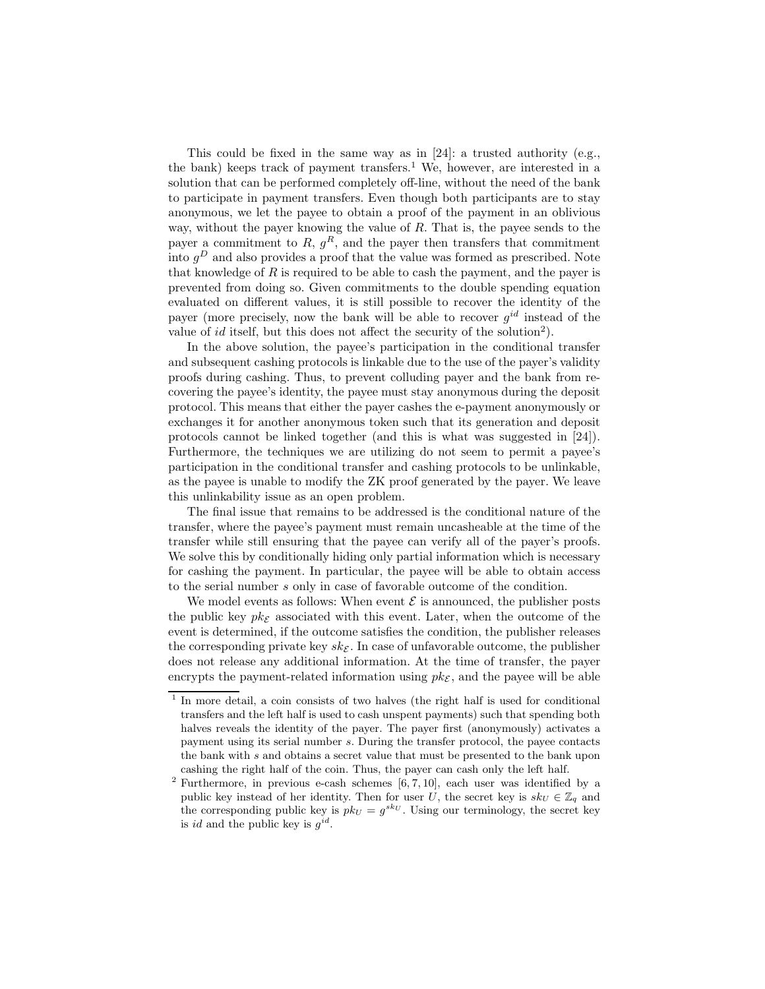This could be fixed in the same way as in [24]: a trusted authority (e.g., the bank) keeps track of payment transfers.<sup>1</sup> We, however, are interested in a solution that can be performed completely off-line, without the need of the bank to participate in payment transfers. Even though both participants are to stay anonymous, we let the payee to obtain a proof of the payment in an oblivious way, without the payer knowing the value of  $R$ . That is, the payee sends to the payer a commitment to  $R, g^R$ , and the payer then transfers that commitment into  $g^D$  and also provides a proof that the value was formed as prescribed. Note that knowledge of  $R$  is required to be able to cash the payment, and the payer is prevented from doing so. Given commitments to the double spending equation evaluated on different values, it is still possible to recover the identity of the payer (more precisely, now the bank will be able to recover  $g^{id}$  instead of the value of *id* itself, but this does not affect the security of the solution<sup>2</sup>).

In the above solution, the payee's participation in the conditional transfer and subsequent cashing protocols is linkable due to the use of the payer's validity proofs during cashing. Thus, to prevent colluding payer and the bank from recovering the payee's identity, the payee must stay anonymous during the deposit protocol. This means that either the payer cashes the e-payment anonymously or exchanges it for another anonymous token such that its generation and deposit protocols cannot be linked together (and this is what was suggested in [24]). Furthermore, the techniques we are utilizing do not seem to permit a payee's participation in the conditional transfer and cashing protocols to be unlinkable, as the payee is unable to modify the ZK proof generated by the payer. We leave this unlinkability issue as an open problem.

The final issue that remains to be addressed is the conditional nature of the transfer, where the payee's payment must remain uncasheable at the time of the transfer while still ensuring that the payee can verify all of the payer's proofs. We solve this by conditionally hiding only partial information which is necessary for cashing the payment. In particular, the payee will be able to obtain access to the serial number s only in case of favorable outcome of the condition.

We model events as follows: When event  $\mathcal E$  is announced, the publisher posts the public key  $pk_{\mathcal{E}}$  associated with this event. Later, when the outcome of the event is determined, if the outcome satisfies the condition, the publisher releases the corresponding private key  $s k<sub>\mathcal{E}</sub>$ . In case of unfavorable outcome, the publisher does not release any additional information. At the time of transfer, the payer encrypts the payment-related information using  $pk_{\mathcal{E}}$ , and the payee will be able

<sup>&</sup>lt;sup>1</sup> In more detail, a coin consists of two halves (the right half is used for conditional transfers and the left half is used to cash unspent payments) such that spending both halves reveals the identity of the payer. The payer first (anonymously) activates a payment using its serial number s. During the transfer protocol, the payee contacts the bank with s and obtains a secret value that must be presented to the bank upon cashing the right half of the coin. Thus, the payer can cash only the left half.

 $2$  Furthermore, in previous e-cash schemes  $[6, 7, 10]$ , each user was identified by a public key instead of her identity. Then for user U, the secret key is  $sk_U \in \mathbb{Z}_q$  and the corresponding public key is  $pk_U = g^{sk_U}$ . Using our terminology, the secret key is *id* and the public key is  $g^{id}$ .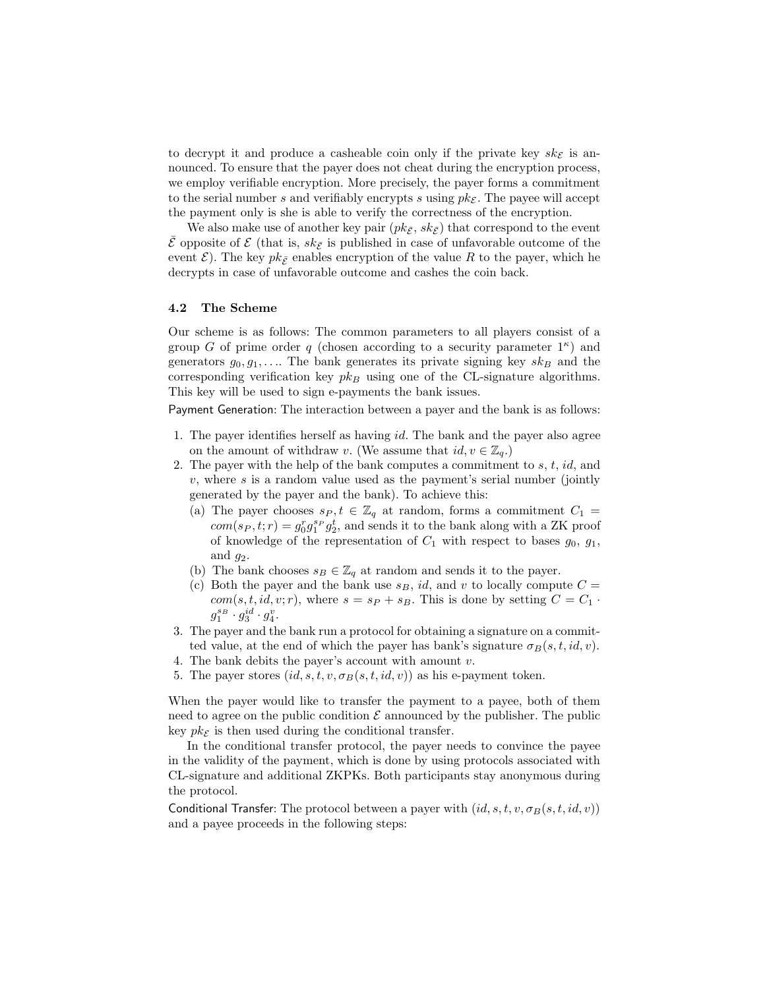to decrypt it and produce a casheable coin only if the private key  $s k \varepsilon$  is announced. To ensure that the payer does not cheat during the encryption process, we employ verifiable encryption. More precisely, the payer forms a commitment to the serial number s and verifiably encrypts s using  $pk_{\mathcal{E}}$ . The payee will accept the payment only is she is able to verify the correctness of the encryption.

We also make use of another key pair  $(pk_{\bar{\mathcal{E}}}, sk_{\bar{\mathcal{E}}})$  that correspond to the event  $\bar{\mathcal{E}}$  opposite of  $\mathcal{E}$  (that is,  $sk_{\bar{\mathcal{E}}}$  is published in case of unfavorable outcome of the event  $\mathcal{E}$ ). The key  $pk_{\bar{\mathcal{E}}}$  enables encryption of the value R to the payer, which he decrypts in case of unfavorable outcome and cashes the coin back.

#### 4.2 The Scheme

Our scheme is as follows: The common parameters to all players consist of a group G of prime order q (chosen according to a security parameter  $1^{\kappa}$ ) and generators  $g_0, g_1, \ldots$  The bank generates its private signing key  $sk_B$  and the corresponding verification key  $pk_B$  using one of the CL-signature algorithms. This key will be used to sign e-payments the bank issues.

Payment Generation: The interaction between a payer and the bank is as follows:

- 1. The payer identifies herself as having id. The bank and the payer also agree on the amount of withdraw v. (We assume that  $id, v \in \mathbb{Z}_q$ .)
- 2. The payer with the help of the bank computes a commitment to  $s, t, id$ , and  $v$ , where  $s$  is a random value used as the payment's serial number (jointly generated by the payer and the bank). To achieve this:
	- (a) The payer chooses  $s_P, t \in \mathbb{Z}_q$  at random, forms a commitment  $C_1$  =  $com(s_P, t; r) = g_0^r g_1^{s_P} g_2^t$ , and sends it to the bank along with a ZK proof of knowledge of the representation of  $C_1$  with respect to bases  $g_0, g_1$ , and  $g_2$ .
	- (b) The bank chooses  $s_B \in \mathbb{Z}_q$  at random and sends it to the payer.
	- (c) Both the payer and the bank use  $s_B$ , id, and v to locally compute  $C =$  $com(s, t, id, v; r)$ , where  $s = sp + sp$ . This is done by setting  $C = C_1$ .  $g_1^{s_B} \cdot g_3^{id} \cdot g_4^v.$
- 3. The payer and the bank run a protocol for obtaining a signature on a committed value, at the end of which the payer has bank's signature  $\sigma_B(s, t, id, v)$ .
- 4. The bank debits the payer's account with amount v.
- 5. The payer stores  $(id, s, t, v, \sigma_B(s, t, id, v))$  as his e-payment token.

When the payer would like to transfer the payment to a payee, both of them need to agree on the public condition  $\mathcal E$  announced by the publisher. The public key  $pk_{\mathcal{E}}$  is then used during the conditional transfer.

In the conditional transfer protocol, the payer needs to convince the payee in the validity of the payment, which is done by using protocols associated with CL-signature and additional ZKPKs. Both participants stay anonymous during the protocol.

Conditional Transfer: The protocol between a payer with  $(id, s, t, v, \sigma_B(s, t, id, v))$ and a payee proceeds in the following steps: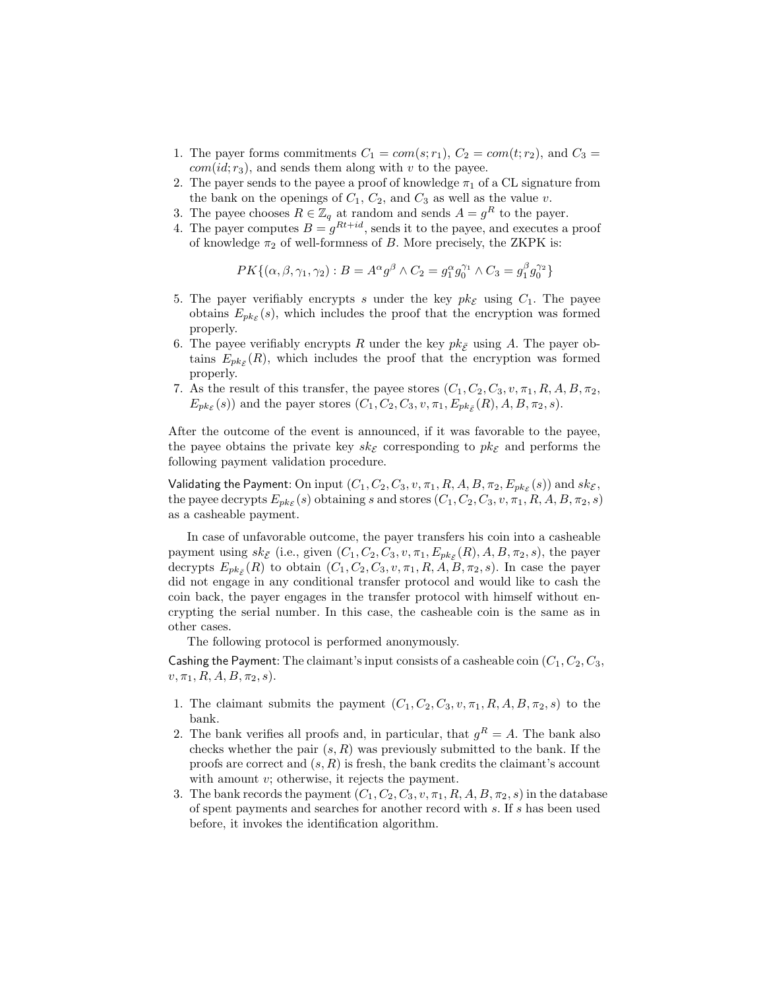- 1. The payer forms commitments  $C_1 = com(s; r_1), C_2 = com(t; r_2),$  and  $C_3 =$  $com(id; r_3)$ , and sends them along with v to the payee.
- 2. The payer sends to the payee a proof of knowledge  $\pi_1$  of a CL signature from the bank on the openings of  $C_1$ ,  $C_2$ , and  $C_3$  as well as the value v.
- 3. The payee chooses  $R \in \mathbb{Z}_q$  at random and sends  $A = g^R$  to the payer.
- 4. The payer computes  $B = g^{Rt+id}$ , sends it to the payee, and executes a proof of knowledge  $\pi_2$  of well-formness of B. More precisely, the ZKPK is:

$$
PK\{(\alpha, \beta, \gamma_1, \gamma_2) : B = A^{\alpha} g^{\beta} \wedge C_2 = g_1^{\alpha} g_0^{\gamma_1} \wedge C_3 = g_1^{\beta} g_0^{\gamma_2} \}
$$

- 5. The payer verifiably encrypts s under the key  $pk_{\mathcal{E}}$  using  $C_1$ . The payee obtains  $E_{pk_{\mathcal{E}}}(s)$ , which includes the proof that the encryption was formed properly.
- 6. The payee verifiably encrypts R under the key  $pk_{\bar{\mathcal{E}}}$  using A. The payer obtains  $E_{pk_{\bar{e}}}(R)$ , which includes the proof that the encryption was formed properly.
- 7. As the result of this transfer, the payee stores  $(C_1, C_2, C_3, v, \pi_1, R, A, B, \pi_2,$  $E_{pk_{\mathcal{E}}}(s)$  and the payer stores  $(C_1, C_2, C_3, v, \pi_1, E_{pk_{\mathcal{E}}}(R), A, B, \pi_2, s)$ .

After the outcome of the event is announced, if it was favorable to the payee, the payee obtains the private key  $sk_{\mathcal{E}}$  corresponding to  $pk_{\mathcal{E}}$  and performs the following payment validation procedure.

Validating the Payment: On input  $(C_1,C_2,C_3,v,\pi_1,R,A,B,\pi_2,E_{pk\varepsilon}(s))$  and  $sk_\mathcal{E},$ the payee decrypts  $E_{pk\varepsilon}(s)$  obtaining s and stores  $(C_1, C_2, C_3, v, \pi_1, R, A, B, \pi_2, s)$ as a casheable payment.

In case of unfavorable outcome, the payer transfers his coin into a casheable payment using  $sk_{\bar{\mathcal{E}}}$  (i.e., given  $(C_1, C_2, C_3, v, \pi_1, E_{pk_{\bar{\mathcal{E}}}}(R), A, B, \pi_2, s)$ , the payer decrypts  $E_{pk_{\bar{\mathcal{E}}}}(R)$  to obtain  $(C_1, C_2, C_3, v, \pi_1, R, A, B, \pi_2, s)$ . In case the payer did not engage in any conditional transfer protocol and would like to cash the coin back, the payer engages in the transfer protocol with himself without encrypting the serial number. In this case, the casheable coin is the same as in other cases.

The following protocol is performed anonymously.

Cashing the Payment: The claimant's input consists of a casheable coin  $(C_1, C_2, C_3,$  $v, \pi_1, R, A, B, \pi_2, s$ .

- 1. The claimant submits the payment  $(C_1, C_2, C_3, v, \pi_1, R, A, B, \pi_2, s)$  to the bank.
- 2. The bank verifies all proofs and, in particular, that  $g^R = A$ . The bank also checks whether the pair  $(s, R)$  was previously submitted to the bank. If the proofs are correct and  $(s, R)$  is fresh, the bank credits the claimant's account with amount  $v$ ; otherwise, it rejects the payment.
- 3. The bank records the payment  $(C_1, C_2, C_3, v, \pi_1, R, A, B, \pi_2, s)$  in the database of spent payments and searches for another record with s. If s has been used before, it invokes the identification algorithm.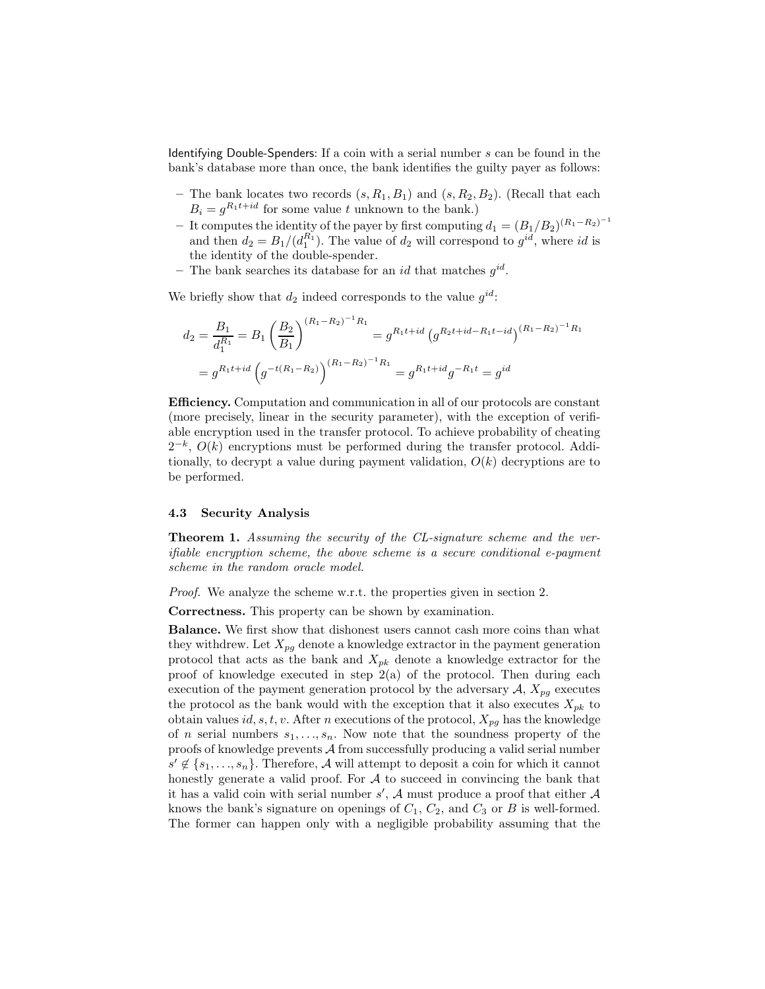Identifying Double-Spenders: If a coin with a serial number s can be found in the bank's database more than once, the bank identifies the guilty payer as follows:

- The bank locates two records  $(s, R_1, B_1)$  and  $(s, R_2, B_2)$ . (Recall that each  $B_i = g^{R_1 t + id}$  for some value t unknown to the bank.)
- − It computes the identity of the payer by first computing  $d_1 = (B_1/B_2)^{(R_1-R_2)^{-1}}$ and then  $d_2 = B_1/(d_1^{R_1})$ . The value of  $d_2$  will correspond to  $g^{id}$ , where id is the identity of the double-spender.
- The bank searches its database for an *id* that matches  $g^{id}$ .

We briefly show that  $d_2$  indeed corresponds to the value  $g^{id}$ :

$$
d_2 = \frac{B_1}{d_1^{R_1}} = B_1 \left(\frac{B_2}{B_1}\right)^{(R_1 - R_2)^{-1}R_1} = g^{R_1 t + id} \left(g^{R_2 t + id - R_1 t - id}\right)^{(R_1 - R_2)^{-1}R_1}
$$
  
=  $g^{R_1 t + id} \left(g^{-t(R_1 - R_2)}\right)^{(R_1 - R_2)^{-1}R_1} = g^{R_1 t + id} g^{-R_1 t} = g^{id}$ 

Efficiency. Computation and communication in all of our protocols are constant (more precisely, linear in the security parameter), with the exception of verifiable encryption used in the transfer protocol. To achieve probability of cheating  $2^{-k}$ ,  $O(k)$  encryptions must be performed during the transfer protocol. Additionally, to decrypt a value during payment validation,  $O(k)$  decryptions are to be performed.

#### 4.3 Security Analysis

Theorem 1. Assuming the security of the CL-signature scheme and the verifiable encryption scheme, the above scheme is a secure conditional e-payment scheme in the random oracle model.

Proof. We analyze the scheme w.r.t. the properties given in section 2.

Correctness. This property can be shown by examination.

Balance. We first show that dishonest users cannot cash more coins than what they withdrew. Let  $X_{pg}$  denote a knowledge extractor in the payment generation protocol that acts as the bank and  $X_{pk}$  denote a knowledge extractor for the proof of knowledge executed in step  $2(a)$  of the protocol. Then during each execution of the payment generation protocol by the adversary  $A$ ,  $X_{pq}$  executes the protocol as the bank would with the exception that it also executes  $X_{pk}$  to obtain values id, s, t, v. After n executions of the protocol,  $X_{pg}$  has the knowledge of n serial numbers  $s_1, \ldots, s_n$ . Now note that the soundness property of the proofs of knowledge prevents A from successfully producing a valid serial number  $s' \notin \{s_1, \ldots, s_n\}$ . Therefore, A will attempt to deposit a coin for which it cannot honestly generate a valid proof. For  $A$  to succeed in convincing the bank that it has a valid coin with serial number  $s'$ , A must produce a proof that either A knows the bank's signature on openings of  $C_1$ ,  $C_2$ , and  $C_3$  or B is well-formed. The former can happen only with a negligible probability assuming that the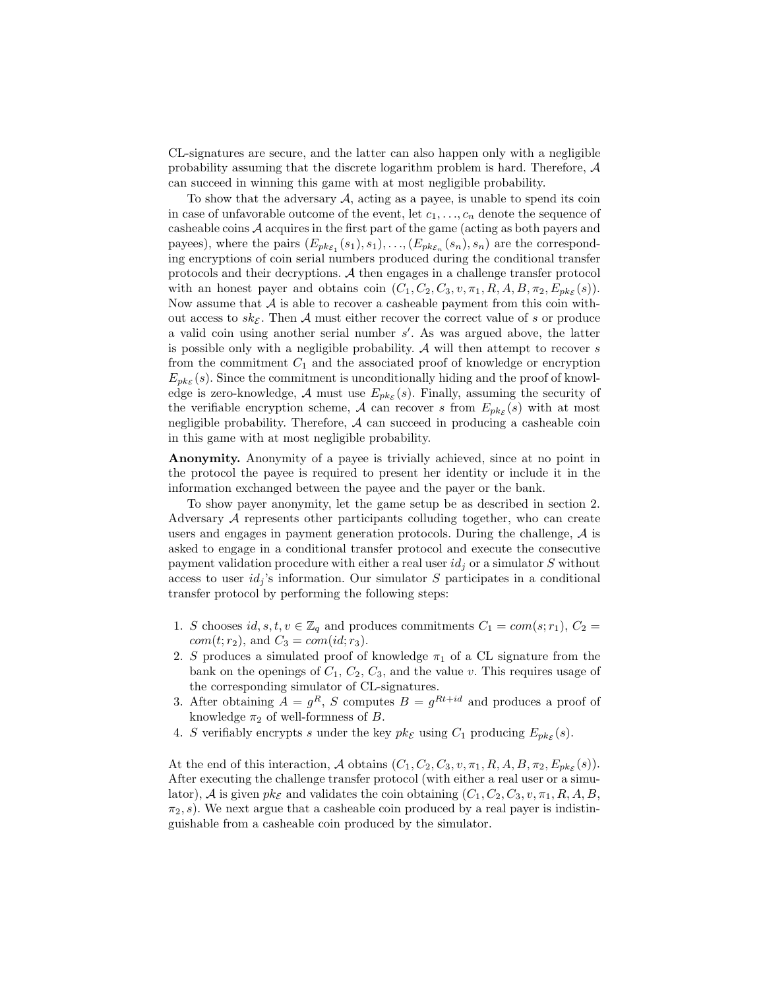CL-signatures are secure, and the latter can also happen only with a negligible probability assuming that the discrete logarithm problem is hard. Therefore, A can succeed in winning this game with at most negligible probability.

To show that the adversary  $A$ , acting as a payee, is unable to spend its coin in case of unfavorable outcome of the event, let  $c_1, \ldots, c_n$  denote the sequence of casheable coins A acquires in the first part of the game (acting as both payers and payees), where the pairs  $(E_{pk_{\mathcal{E}_1}}(s_1), s_1), \ldots, (E_{pk_{\mathcal{E}_n}}(s_n), s_n)$  are the corresponding encryptions of coin serial numbers produced during the conditional transfer protocols and their decryptions. A then engages in a challenge transfer protocol with an honest payer and obtains coin  $(C_1, C_2, C_3, v, \pi_1, R, A, B, \pi_2, E_{pk_{\mathcal{E}}}(s)).$ Now assume that  $A$  is able to recover a casheable payment from this coin without access to  $sk_{\mathcal{E}}$ . Then A must either recover the correct value of s or produce a valid coin using another serial number  $s'$ . As was argued above, the latter is possible only with a negligible probability.  $A$  will then attempt to recover s from the commitment  $C_1$  and the associated proof of knowledge or encryption  $E_{pk\varepsilon}(s)$ . Since the commitment is unconditionally hiding and the proof of knowledge is zero-knowledge, A must use  $E_{pk\varepsilon}(s)$ . Finally, assuming the security of the verifiable encryption scheme, A can recover s from  $E_{pk_{\mathcal{E}}}(s)$  with at most negligible probability. Therefore, A can succeed in producing a casheable coin in this game with at most negligible probability.

Anonymity. Anonymity of a payee is trivially achieved, since at no point in the protocol the payee is required to present her identity or include it in the information exchanged between the payee and the payer or the bank.

To show payer anonymity, let the game setup be as described in section 2. Adversary A represents other participants colluding together, who can create users and engages in payment generation protocols. During the challenge,  $A$  is asked to engage in a conditional transfer protocol and execute the consecutive payment validation procedure with either a real user  $id_i$  or a simulator S without access to user  $id_j$ 's information. Our simulator S participates in a conditional transfer protocol by performing the following steps:

- 1. S chooses id, s, t,  $v \in \mathbb{Z}_q$  and produces commitments  $C_1 = com(s; r_1), C_2 =$  $com(t; r_2)$ , and  $C_3 = com(id; r_3)$ .
- 2. S produces a simulated proof of knowledge  $\pi_1$  of a CL signature from the bank on the openings of  $C_1, C_2, C_3$ , and the value v. This requires usage of the corresponding simulator of CL-signatures.
- 3. After obtaining  $A = g^R$ , S computes  $B = g^{Rt + id}$  and produces a proof of knowledge  $\pi_2$  of well-formness of B.
- 4. S verifiably encrypts s under the key  $pk_{\mathcal{E}}$  using  $C_1$  producing  $E_{pk_{\mathcal{E}}}(s)$ .

At the end of this interaction, A obtains  $(C_1, C_2, C_3, v, \pi_1, R, A, B, \pi_2, E_{pk_{\mathcal{E}}}(s)).$ After executing the challenge transfer protocol (with either a real user or a simulator), A is given  $pk_{\mathcal{E}}$  and validates the coin obtaining  $(C_1, C_2, C_3, v, \pi_1, R, A, B, \pi_2)$  $\pi_2$ , s). We next argue that a casheable coin produced by a real payer is indistinguishable from a casheable coin produced by the simulator.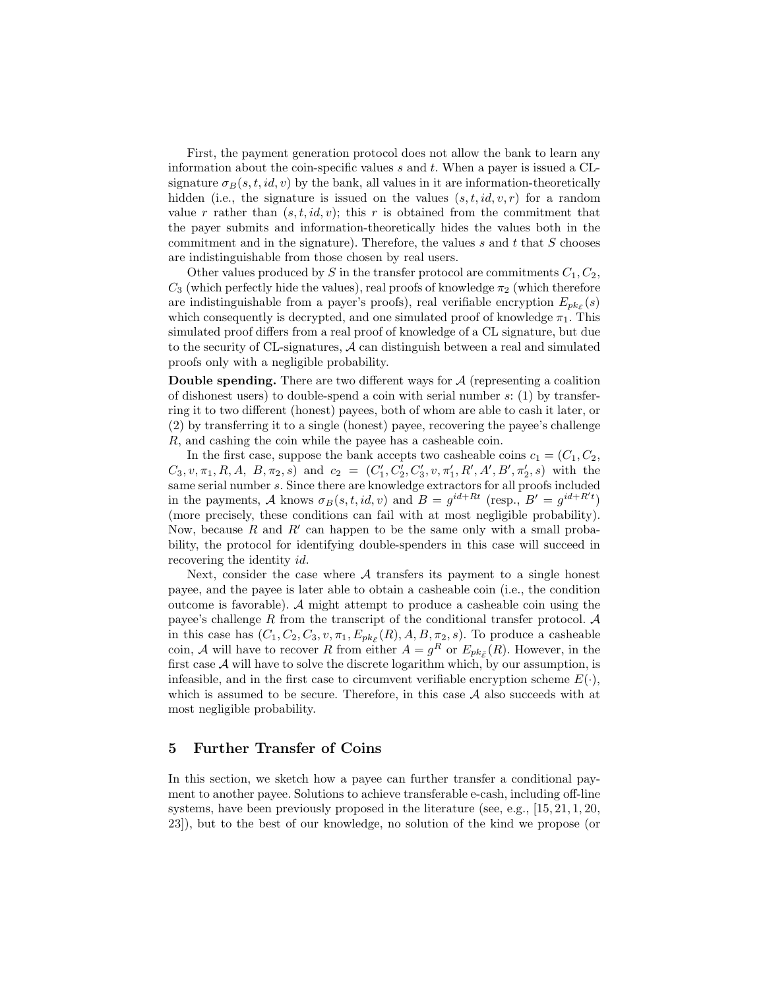First, the payment generation protocol does not allow the bank to learn any information about the coin-specific values  $s$  and  $t$ . When a payer is issued a CLsignature  $\sigma_B(s, t, id, v)$  by the bank, all values in it are information-theoretically hidden (i.e., the signature is issued on the values  $(s, t, id, v, r)$  for a random value r rather than  $(s, t, id, v)$ ; this r is obtained from the commitment that the payer submits and information-theoretically hides the values both in the commitment and in the signature). Therefore, the values s and t that  $S$  chooses are indistinguishable from those chosen by real users.

Other values produced by S in the transfer protocol are commitments  $C_1, C_2$ ,  $C_3$  (which perfectly hide the values), real proofs of knowledge  $\pi_2$  (which therefore are indistinguishable from a payer's proofs), real verifiable encryption  $E_{pk_{\mathcal{E}}}(s)$ which consequently is decrypted, and one simulated proof of knowledge  $\pi_1$ . This simulated proof differs from a real proof of knowledge of a CL signature, but due to the security of CL-signatures,  $A$  can distinguish between a real and simulated proofs only with a negligible probability.

**Double spending.** There are two different ways for  $A$  (representing a coalition of dishonest users) to double-spend a coin with serial number  $s: (1)$  by transferring it to two different (honest) payees, both of whom are able to cash it later, or (2) by transferring it to a single (honest) payee, recovering the payee's challenge R, and cashing the coin while the payee has a casheable coin.

In the first case, suppose the bank accepts two casheable coins  $c_1 = (C_1, C_2,$  $C_3, v, \pi_1, R, A, B, \pi_2, s$  and  $c_2 = (C'_1, C'_2, C'_3, v, \pi'_1, R', A', B', \pi'_2, s)$  with the same serial number s. Since there are knowledge extractors for all proofs included in the payments, A knows  $\sigma_B(s, t, id, v)$  and  $B = g^{id+Rt}$  (resp.,  $B' = g^{id+R't}$ ) (more precisely, these conditions can fail with at most negligible probability). Now, because  $R$  and  $R'$  can happen to be the same only with a small probability, the protocol for identifying double-spenders in this case will succeed in recovering the identity id.

Next, consider the case where  $A$  transfers its payment to a single honest payee, and the payee is later able to obtain a casheable coin (i.e., the condition outcome is favorable). A might attempt to produce a casheable coin using the payee's challenge R from the transcript of the conditional transfer protocol.  $\mathcal A$ in this case has  $(C_1, C_2, C_3, v, \pi_1, E_{pk_{\bar{\mathcal{E}}}}(R), A, B, \pi_2, s)$ . To produce a casheable coin, A will have to recover R from either  $A = g<sup>R</sup>$  or  $E_{pk_{\bar{\mathcal{E}}}}(R)$ . However, in the first case  $A$  will have to solve the discrete logarithm which, by our assumption, is infeasible, and in the first case to circumvent verifiable encryption scheme  $E(\cdot)$ , which is assumed to be secure. Therefore, in this case A also succeeds with at most negligible probability.

# 5 Further Transfer of Coins

In this section, we sketch how a payee can further transfer a conditional payment to another payee. Solutions to achieve transferable e-cash, including off-line systems, have been previously proposed in the literature (see, e.g., [15, 21, 1, 20, 23]), but to the best of our knowledge, no solution of the kind we propose (or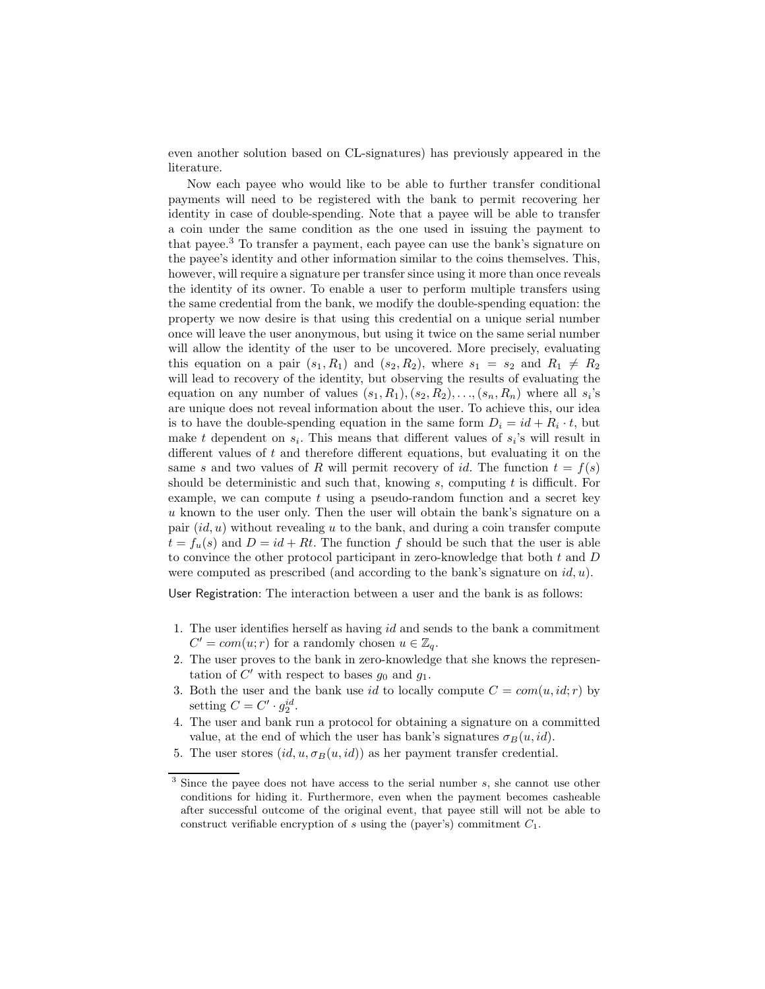even another solution based on CL-signatures) has previously appeared in the literature.

Now each payee who would like to be able to further transfer conditional payments will need to be registered with the bank to permit recovering her identity in case of double-spending. Note that a payee will be able to transfer a coin under the same condition as the one used in issuing the payment to that payee.<sup>3</sup> To transfer a payment, each payee can use the bank's signature on the payee's identity and other information similar to the coins themselves. This, however, will require a signature per transfer since using it more than once reveals the identity of its owner. To enable a user to perform multiple transfers using the same credential from the bank, we modify the double-spending equation: the property we now desire is that using this credential on a unique serial number once will leave the user anonymous, but using it twice on the same serial number will allow the identity of the user to be uncovered. More precisely, evaluating this equation on a pair  $(s_1, R_1)$  and  $(s_2, R_2)$ , where  $s_1 = s_2$  and  $R_1 \neq R_2$ will lead to recovery of the identity, but observing the results of evaluating the equation on any number of values  $(s_1, R_1), (s_2, R_2), \ldots, (s_n, R_n)$  where all  $s_i$ 's are unique does not reveal information about the user. To achieve this, our idea is to have the double-spending equation in the same form  $D_i = id + R_i \cdot t$ , but make t dependent on  $s_i$ . This means that different values of  $s_i$ 's will result in different values of t and therefore different equations, but evaluating it on the same s and two values of R will permit recovery of id. The function  $t = f(s)$ should be deterministic and such that, knowing s, computing t is difficult. For example, we can compute  $t$  using a pseudo-random function and a secret key u known to the user only. Then the user will obtain the bank's signature on a pair  $(id, u)$  without revealing u to the bank, and during a coin transfer compute  $t = f_u(s)$  and  $D = id + Rt$ . The function f should be such that the user is able to convince the other protocol participant in zero-knowledge that both  $t$  and  $D$ were computed as prescribed (and according to the bank's signature on  $id, u$ ).

User Registration: The interaction between a user and the bank is as follows:

- 1. The user identifies herself as having  $id$  and sends to the bank a commitment  $C' = com(u; r)$  for a randomly chosen  $u \in \mathbb{Z}_q$ .
- 2. The user proves to the bank in zero-knowledge that she knows the representation of  $C'$  with respect to bases  $g_0$  and  $g_1$ .
- 3. Both the user and the bank use id to locally compute  $C = com(u, id; r)$  by setting  $C = C' \cdot g_2^{id}$ .
- 4. The user and bank run a protocol for obtaining a signature on a committed value, at the end of which the user has bank's signatures  $\sigma_B(u, id)$ .
- 5. The user stores  $(id, u, \sigma_B(u, id))$  as her payment transfer credential.

<sup>&</sup>lt;sup>3</sup> Since the payee does not have access to the serial number s, she cannot use other conditions for hiding it. Furthermore, even when the payment becomes casheable after successful outcome of the original event, that payee still will not be able to construct verifiable encryption of s using the (payer's) commitment  $C_1$ .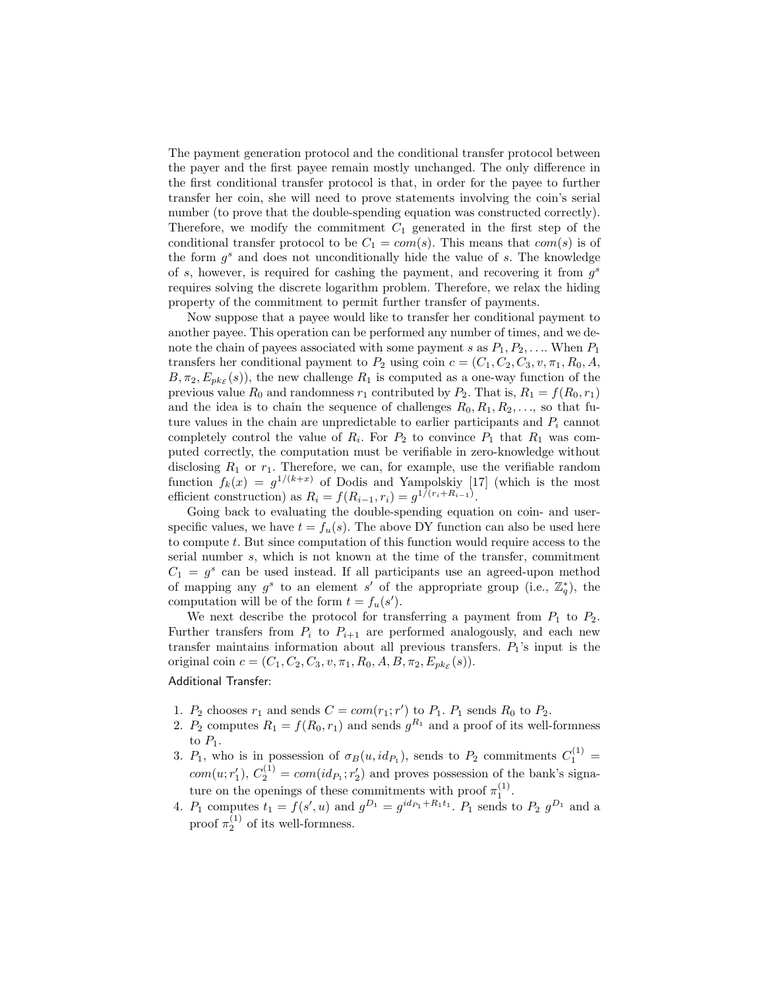The payment generation protocol and the conditional transfer protocol between the payer and the first payee remain mostly unchanged. The only difference in the first conditional transfer protocol is that, in order for the payee to further transfer her coin, she will need to prove statements involving the coin's serial number (to prove that the double-spending equation was constructed correctly). Therefore, we modify the commitment  $C_1$  generated in the first step of the conditional transfer protocol to be  $C_1 = com(s)$ . This means that  $com(s)$  is of the form  $g^s$  and does not unconditionally hide the value of s. The knowledge of  $s$ , however, is required for cashing the payment, and recovering it from  $g<sup>s</sup>$ requires solving the discrete logarithm problem. Therefore, we relax the hiding property of the commitment to permit further transfer of payments.

Now suppose that a payee would like to transfer her conditional payment to another payee. This operation can be performed any number of times, and we denote the chain of payees associated with some payment s as  $P_1, P_2, \ldots$  When  $P_1$ transfers her conditional payment to  $P_2$  using coin  $c = (C_1, C_2, C_3, v, \pi_1, R_0, A,$  $B, \pi_2, E_{pk_{\mathcal{E}}}(s)$ , the new challenge  $R_1$  is computed as a one-way function of the previous value  $R_0$  and randomness  $r_1$  contributed by  $P_2$ . That is,  $R_1 = f(R_0, r_1)$ and the idea is to chain the sequence of challenges  $R_0, R_1, R_2, \ldots$ , so that future values in the chain are unpredictable to earlier participants and  $P_i$  cannot completely control the value of  $R_i$ . For  $P_2$  to convince  $P_1$  that  $R_1$  was computed correctly, the computation must be verifiable in zero-knowledge without disclosing  $R_1$  or  $r_1$ . Therefore, we can, for example, use the verifiable random function  $f_k(x) = g^{1/(k+x)}$  of Dodis and Yampolskiy [17] (which is the most efficient construction) as  $R_i = f(R_{i-1}, r_i) = g^{1/(r_i + R_{i-1})}$ .

Going back to evaluating the double-spending equation on coin- and userspecific values, we have  $t = f_u(s)$ . The above DY function can also be used here to compute t. But since computation of this function would require access to the serial number s, which is not known at the time of the transfer, commitment  $C_1 = g^s$  can be used instead. If all participants use an agreed-upon method of mapping any  $g^s$  to an element s' of the appropriate group (i.e.,  $\mathbb{Z}_q^*$ ), the computation will be of the form  $t = f_u(s')$ .

We next describe the protocol for transferring a payment from  $P_1$  to  $P_2$ . Further transfers from  $P_i$  to  $P_{i+1}$  are performed analogously, and each new transfer maintains information about all previous transfers.  $P_1$ 's input is the original coin  $c = (C_1, C_2, C_3, v, \pi_1, R_0, A, B, \pi_2, E_{pk\varepsilon}(s)).$ 

#### Additional Transfer:

- 1.  $P_2$  chooses  $r_1$  and sends  $C = com(r_1; r')$  to  $P_1$ .  $P_1$  sends  $R_0$  to  $P_2$ .
- 2.  $P_2$  computes  $R_1 = f(R_0, r_1)$  and sends  $g^{R_1}$  and a proof of its well-formness to  $P_1$ .
- 3.  $P_1$ , who is in possession of  $\sigma_B(u, id_{P_1})$ , sends to  $P_2$  commitments  $C_1^{(1)}$  =  $com(u; r'_1), C_2^{(1)} = com(id_{P_1}; r'_2)$  and proves possession of the bank's signature on the openings of these commitments with proof  $\pi_1^{(1)}$ .
- 4.  $P_1$  computes  $t_1 = f(s', u)$  and  $g^{D_1} = g^{id_{P_1} + R_1 t_1}$ .  $P_1$  sends to  $P_2$   $g^{D_1}$  and a proof  $\pi_2^{(1)}$  of its well-formness.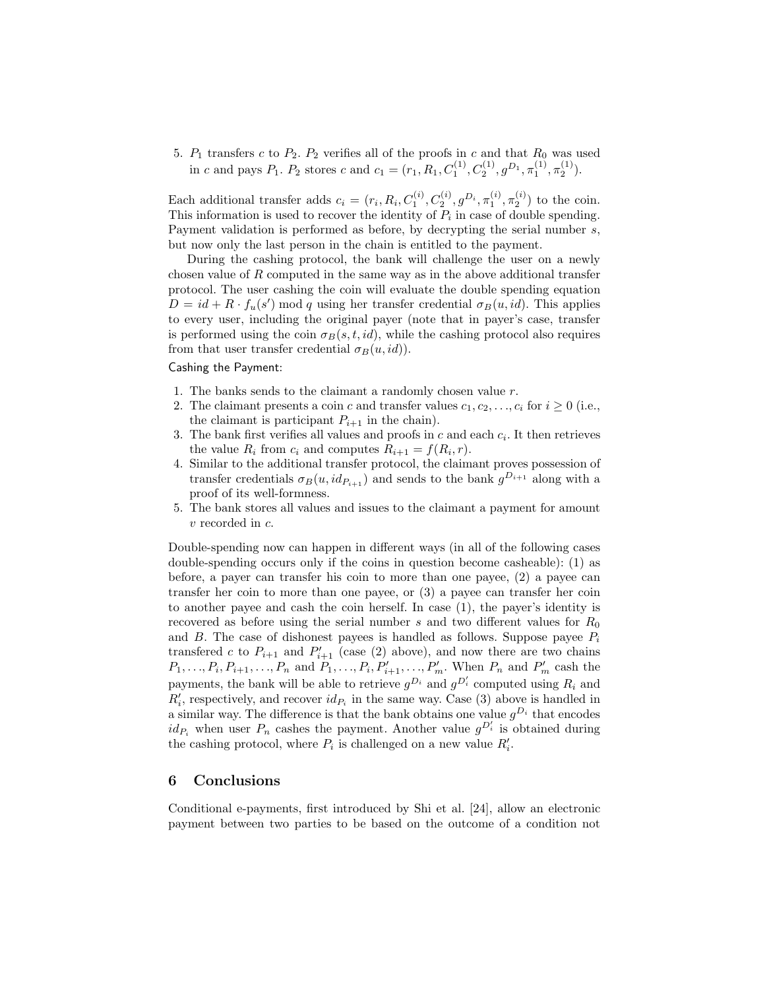5.  $P_1$  transfers c to  $P_2$ .  $P_2$  verifies all of the proofs in c and that  $R_0$  was used in c and pays  $P_1$ .  $P_2$  stores c and  $c_1 = (r_1, R_1, C_1^{(1)}, C_2^{(1)}, g^{D_1}, \pi_1^{(1)}, \pi_2^{(1)})$ .

Each additional transfer adds  $c_i = (r_i, R_i, C_1^{(i)}, C_2^{(i)}, g^{D_i}, \pi_1^{(i)}, \pi_2^{(i)})$  to the coin. This information is used to recover the identity of  $P_i$  in case of double spending. Payment validation is performed as before, by decrypting the serial number s, but now only the last person in the chain is entitled to the payment.

During the cashing protocol, the bank will challenge the user on a newly chosen value of  $R$  computed in the same way as in the above additional transfer protocol. The user cashing the coin will evaluate the double spending equation  $D = id + R \cdot f_u(s') \mod q$  using her transfer credential  $\sigma_B(u, id)$ . This applies to every user, including the original payer (note that in payer's case, transfer is performed using the coin  $\sigma_B(s, t, id)$ , while the cashing protocol also requires from that user transfer credential  $\sigma_B(u, id)$ .

#### Cashing the Payment:

- 1. The banks sends to the claimant a randomly chosen value  $r$ .
- 2. The claimant presents a coin c and transfer values  $c_1, c_2, \ldots, c_i$  for  $i \geq 0$  (i.e., the claimant is participant  $P_{i+1}$  in the chain).
- 3. The bank first verifies all values and proofs in  $c$  and each  $c_i$ . It then retrieves the value  $R_i$  from  $c_i$  and computes  $R_{i+1} = f(R_i, r)$ .
- 4. Similar to the additional transfer protocol, the claimant proves possession of transfer credentials  $\sigma_B(u, id_{P_{i+1}})$  and sends to the bank  $g^{D_{i+1}}$  along with a proof of its well-formness.
- 5. The bank stores all values and issues to the claimant a payment for amount v recorded in c.

Double-spending now can happen in different ways (in all of the following cases double-spending occurs only if the coins in question become casheable): (1) as before, a payer can transfer his coin to more than one payee, (2) a payee can transfer her coin to more than one payee, or (3) a payee can transfer her coin to another payee and cash the coin herself. In case (1), the payer's identity is recovered as before using the serial number s and two different values for  $R_0$ and  $B$ . The case of dishonest payees is handled as follows. Suppose payee  $P_i$ transferred c to  $P_{i+1}$  and  $P'_{i+1}$  (case (2) above), and now there are two chains  $P_1, \ldots, P_i, P_{i+1}, \ldots, P_n$  and  $P_1, \ldots, P_i, P'_{i+1}, \ldots, P'_m$ . When  $P_n$  and  $P'_m$  cash the payments, the bank will be able to retrieve  $g^{D_i}$  and  $g^{D'_i}$  computed using  $R_i$  and  $R_i'$ , respectively, and recover  $id_{P_i}$  in the same way. Case (3) above is handled in a similar way. The difference is that the bank obtains one value  $g^{D_i}$  that encodes  $id_{P_i}$  when user  $P_n$  cashes the payment. Another value  $g^{D'_i}$  is obtained during the cashing protocol, where  $P_i$  is challenged on a new value  $R'_i$ .

### 6 Conclusions

Conditional e-payments, first introduced by Shi et al. [24], allow an electronic payment between two parties to be based on the outcome of a condition not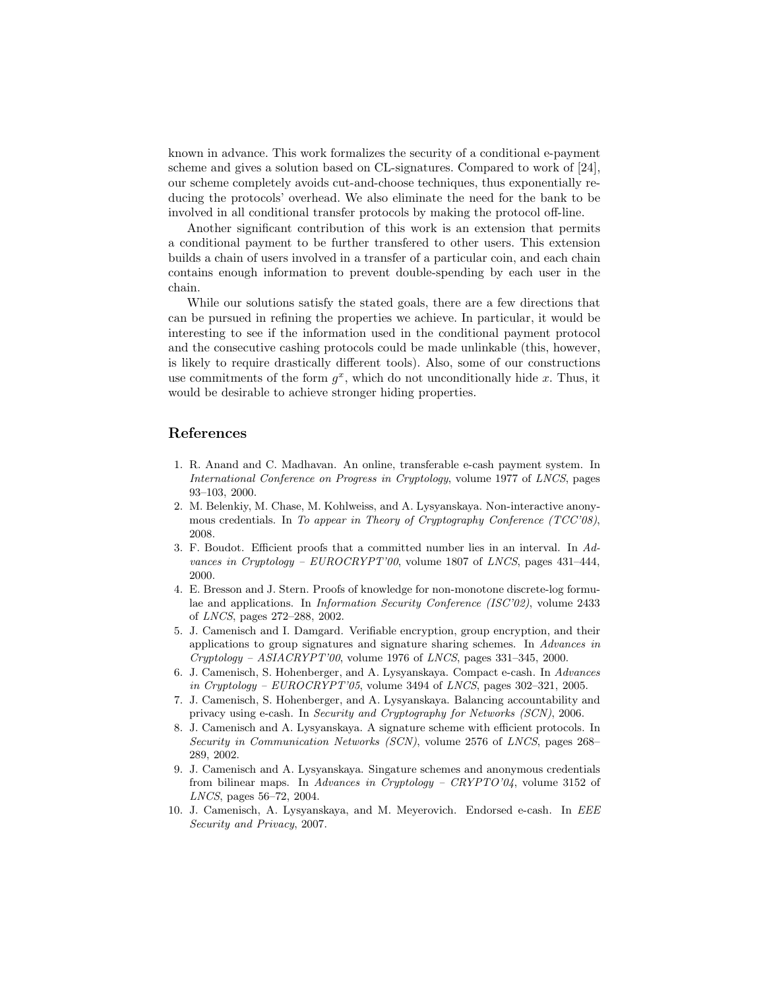known in advance. This work formalizes the security of a conditional e-payment scheme and gives a solution based on CL-signatures. Compared to work of [24], our scheme completely avoids cut-and-choose techniques, thus exponentially reducing the protocols' overhead. We also eliminate the need for the bank to be involved in all conditional transfer protocols by making the protocol off-line.

Another significant contribution of this work is an extension that permits a conditional payment to be further transfered to other users. This extension builds a chain of users involved in a transfer of a particular coin, and each chain contains enough information to prevent double-spending by each user in the chain.

While our solutions satisfy the stated goals, there are a few directions that can be pursued in refining the properties we achieve. In particular, it would be interesting to see if the information used in the conditional payment protocol and the consecutive cashing protocols could be made unlinkable (this, however, is likely to require drastically different tools). Also, some of our constructions use commitments of the form  $g^x$ , which do not unconditionally hide x. Thus, it would be desirable to achieve stronger hiding properties.

### References

- 1. R. Anand and C. Madhavan. An online, transferable e-cash payment system. In International Conference on Progress in Cryptology, volume 1977 of LNCS, pages 93–103, 2000.
- 2. M. Belenkiy, M. Chase, M. Kohlweiss, and A. Lysyanskaya. Non-interactive anonymous credentials. In To appear in Theory of Cryptography Conference (TCC'08), 2008.
- 3. F. Boudot. Efficient proofs that a committed number lies in an interval. In Advances in Cryptology –  $EUROCRYPT'00$ , volume 1807 of LNCS, pages 431–444, 2000.
- 4. E. Bresson and J. Stern. Proofs of knowledge for non-monotone discrete-log formulae and applications. In *Information Security Conference (ISC'02)*, volume 2433 of LNCS, pages 272–288, 2002.
- 5. J. Camenisch and I. Damgard. Verifiable encryption, group encryption, and their applications to group signatures and signature sharing schemes. In Advances in  $Cryptology - ASIACRYPT'00$ , volume 1976 of LNCS, pages 331–345, 2000.
- 6. J. Camenisch, S. Hohenberger, and A. Lysyanskaya. Compact e-cash. In Advances in Cryptology –  $EUROCRYPT'05$ , volume 3494 of LNCS, pages 302–321, 2005.
- 7. J. Camenisch, S. Hohenberger, and A. Lysyanskaya. Balancing accountability and privacy using e-cash. In Security and Cryptography for Networks (SCN), 2006.
- 8. J. Camenisch and A. Lysyanskaya. A signature scheme with efficient protocols. In Security in Communication Networks (SCN), volume 2576 of LNCS, pages 268– 289, 2002.
- 9. J. Camenisch and A. Lysyanskaya. Singature schemes and anonymous credentials from bilinear maps. In Advances in Cryptology – CRYPTO'04, volume 3152 of LNCS, pages 56–72, 2004.
- 10. J. Camenisch, A. Lysyanskaya, and M. Meyerovich. Endorsed e-cash. In EEE Security and Privacy, 2007.